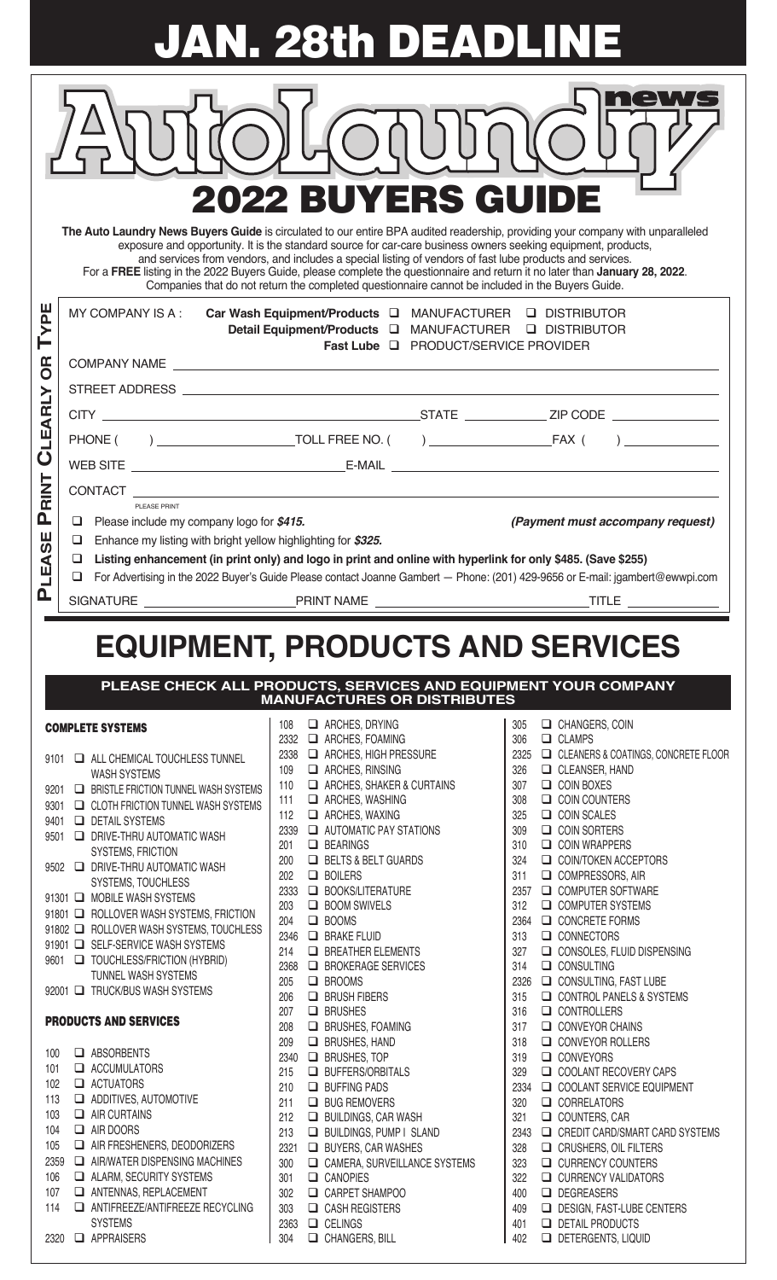**JAN. 28th DEADLINE**

| <b>2022 BUYERS GUIDE</b><br>The Auto Laundry News Buyers Guide is circulated to our entire BPA audited readership, providing your company with unparalleled<br>exposure and opportunity. It is the standard source for car-care business owners seeking equipment, products,<br>and services from vendors, and includes a special listing of vendors of fast lube products and services.<br>For a FREE listing in the 2022 Buyers Guide, please complete the questionnaire and return it no later than January 28, 2022.<br>Companies that do not return the completed questionnaire cannot be included in the Buyers Guide.<br>ш<br>MY COMPANY IS A :<br>Car Wash Equipment/Products Q MANUFACTURER Q DISTRIBUTOR<br><u>ה</u><br><b>Q DISTRIBUTOR</b><br>Detail Equipment/Products <b>Q</b> MANUFACTURER<br>Fast Lube Q PRODUCT/SERVICE PROVIDER<br><b>SP</b><br>CLEARLY<br><b>RINT</b><br>PLEASE PRINT<br>Δ.<br>Please include my company logo for \$415.<br>❏<br>(Payment must accompany request)<br>ш<br>$\Box$<br>Enhance my listing with bright yellow highlighting for \$325.<br>$\boldsymbol{\sigma}$<br>Ä<br>Listing enhancement (in print only) and logo in print and online with hyperlink for only \$485. (Save \$255)<br>❏<br>For Advertising in the 2022 Buyer's Guide Please contact Joanne Gambert - Phone: (201) 429-9656 or E-mail: jgambert@ewwpi.com<br>❏<br>Ω.<br><b>EQUIPMENT, PRODUCTS AND SERVICES</b><br>PLEASE CHECK ALL PRODUCTS, SERVICES AND EQUIPMENT YOUR COMPANY<br><b>MANUFACTURES OR DISTRIBUTES</b><br>ARCHES, DRYING<br>CHANGERS, COIN<br>108<br>305<br><b>COMPLETE SYSTEMS</b><br>2332 <b>E</b> ARCHES, FOAMING<br>$\Box$ CLAMPS<br>306<br>2338<br>ARCHES, HIGH PRESSURE<br>2325 <b>EM</b> CLEANERS & COATINGS, CONCRETE FLOOR<br>ALL CHEMICAL TOUCHLESS TUNNEL<br>9101<br>109<br>ARCHES, RINSING<br>326<br>CLEANSER, HAND<br><b>WASH SYSTEMS</b><br>$\Box$ ARCHES, SHAKER & CURTAINS<br>$\Box$ COIN BOXES<br>110<br>307<br>$\Box$ BRISTLE FRICTION TUNNEL WASH SYSTEMS<br>9201<br>$\Box$ ARCHES, WASHING<br>$\Box$ COIN COUNTERS<br>111<br>308<br>CLOTH FRICTION TUNNEL WASH SYSTEMS<br>9301<br>$\Box$ ARCHES, WAXING<br>112<br>325<br>$\Box$ COIN SCALES<br><b>DETAIL SYSTEMS</b><br>9401<br>AUTOMATIC PAY STATIONS<br>2339<br>309<br><b>Q</b> COIN SORTERS<br><b>DRIVE-THRU AUTOMATIC WASH</b><br>9501<br><b>BEARINGS</b><br>201<br>310<br>$\Box$ COIN WRAPPERS<br><b>SYSTEMS, FRICTION</b><br><b>EXECUTE:</b> BELTS & BELT GUARDS<br>200<br>324<br>COIN/TOKEN ACCEPTORS<br>9502 <b>E DRIVE-THRU AUTOMATIC WASH</b><br>$\Box$ BOILERS<br>202<br>311<br>COMPRESSORS, AIR<br>SYSTEMS, TOUCHLESS<br>2333 C BOOKS/LITERATURE<br>COMPUTER SOFTWARE<br>2357<br>91301 O MOBILE WASH SYSTEMS<br><b>BOOM SWIVELS</b><br>312<br>203<br>COMPUTER SYSTEMS<br>91801 <b>EX ROLLOVER WASH SYSTEMS, FRICTION</b><br>204<br>$\Box$ BOOMS<br>2364 Q CONCRETE FORMS<br>91802 <b>EX ROLLOVER WASH SYSTEMS, TOUCHLESS</b><br>2346<br><b>BRAKE FLUID</b><br>313<br>O CONNECTORS<br>91901 G SELF-SERVICE WASH SYSTEMS<br>214<br><b>EXECUTE BREATHER ELEMENTS</b><br>327<br>$\Box$ CONSOLES, FLUID DISPENSING<br>9601 O TOUCHLESS/FRICTION (HYBRID)<br>$\Box$ CONSULTING<br>2368<br><b>EX BROKERAGE SERVICES</b><br>314<br>TUNNEL WASH SYSTEMS<br>$\Box$ BROOMS<br>CONSULTING, FAST LUBE<br>205<br>2326<br>92001 TRUCK/BUS WASH SYSTEMS<br><b>EX BRUSH FIBERS</b><br>206<br>315<br>CONTROL PANELS & SYSTEMS<br>$\Box$ BRUSHES<br>$\Box$ CONTROLLERS<br>207<br>316<br><b>PRODUCTS AND SERVICES</b><br><b>EX BRUSHES, FOAMING</b><br>$\Box$ CONVEYOR CHAINS<br>208<br>317<br><b>ED BRUSHES, HAND</b><br>CONVEYOR ROLLERS<br>209<br>318<br>ABSORBENTS<br>100<br><b>E</b> BRUSHES, TOP<br>O CONVEYORS<br>2340<br>319<br>$\Box$ ACCUMULATORS<br>101<br><b>EN BUFFERS/ORBITALS</b><br>COOLANT RECOVERY CAPS<br>215<br>329<br>$\Box$ ACTUATORS<br>102<br><b>BUFFING PADS</b><br>2334<br>COOLANT SERVICE EQUIPMENT<br>210<br>ADDITIVES, AUTOMOTIVE<br>113<br><b>ED BUG REMOVERS</b><br>320<br>$\Box$ CORRELATORS<br>211<br>103<br>$\Box$ AIR CURTAINS<br><b>BUILDINGS, CAR WASH</b><br>O COUNTERS, CAR<br>212<br>321<br>$\Box$ AIR DOORS<br>104<br>213<br><b>EI BUILDINGS, PUMP I SLAND</b><br>2343<br>CREDIT CARD/SMART CARD SYSTEMS<br>AIR FRESHENERS, DEODORIZERS<br>105<br><b>E</b> BUYERS, CAR WASHES<br>2321<br>328<br>CRUSHERS, OIL FILTERS<br>$\Box$ AIR/WATER DISPENSING MACHINES<br>2359<br>CAMERA, SURVEILLANCE SYSTEMS<br>323<br><b>Q</b> CURRENCY COUNTERS<br>300<br>ALARM, SECURITY SYSTEMS<br>106<br>$\Box$ CANOPIES<br>301<br>322<br><b>Q CURRENCY VALIDATORS</b><br>ANTENNAS, REPLACEMENT<br>107<br>302<br>CARPET SHAMPOO<br>400<br>DEGREASERS<br>ANTIFREEZE/ANTIFREEZE RECYCLING<br>$\Box$ CASH REGISTERS<br>DESIGN, FAST-LUBE CENTERS<br>409<br>114<br>303<br><b>SYSTEMS</b><br>2363 <b>Q</b> CELINGS<br>401<br><b>DETAIL PRODUCTS</b> |  |  |  |  |  |  |  |  |  |  |
|-------------------------------------------------------------------------------------------------------------------------------------------------------------------------------------------------------------------------------------------------------------------------------------------------------------------------------------------------------------------------------------------------------------------------------------------------------------------------------------------------------------------------------------------------------------------------------------------------------------------------------------------------------------------------------------------------------------------------------------------------------------------------------------------------------------------------------------------------------------------------------------------------------------------------------------------------------------------------------------------------------------------------------------------------------------------------------------------------------------------------------------------------------------------------------------------------------------------------------------------------------------------------------------------------------------------------------------------------------------------------------------------------------------------------------------------------------------------------------------------------------------------------------------------------------------------------------------------------------------------------------------------------------------------------------------------------------------------------------------------------------------------------------------------------------------------------------------------------------------------------------------------------------------------------------------------------------------------------------------------------------------------------------------------------------------------------------------------------------------------------------------------------------------------------------------------------------------------------------------------------------------------------------------------------------------------------------------------------------------------------------------------------------------------------------------------------------------------------------------------------------------------------------------------------------------------------------------------------------------------------------------------------------------------------------------------------------------------------------------------------------------------------------------------------------------------------------------------------------------------------------------------------------------------------------------------------------------------------------------------------------------------------------------------------------------------------------------------------------------------------------------------------------------------------------------------------------------------------------------------------------------------------------------------------------------------------------------------------------------------------------------------------------------------------------------------------------------------------------------------------------------------------------------------------------------------------------------------------------------------------------------------------------------------------------------------------------------------------------------------------------------------------------------------------------------------------------------------------------------------------------------------------------------------------------------------------------------------------------------------------------------------------------------------------------------------------------------------------------------------------------------------------------------------------------------------------------------------------------------------------------------------------------------------------------------------------------------------------------------------------------------------------------------------------------------------------------------------------------------------------------------------------------------------------------------------------------------------------------------------------------------------------------------------------------------------------------------------------------------------------------------------------------------------------------------------------------------------------------------------|--|--|--|--|--|--|--|--|--|--|
|                                                                                                                                                                                                                                                                                                                                                                                                                                                                                                                                                                                                                                                                                                                                                                                                                                                                                                                                                                                                                                                                                                                                                                                                                                                                                                                                                                                                                                                                                                                                                                                                                                                                                                                                                                                                                                                                                                                                                                                                                                                                                                                                                                                                                                                                                                                                                                                                                                                                                                                                                                                                                                                                                                                                                                                                                                                                                                                                                                                                                                                                                                                                                                                                                                                                                                                                                                                                                                                                                                                                                                                                                                                                                                                                                                                                                                                                                                                                                                                                                                                                                                                                                                                                                                                                                                                                                                                                                                                                                                                                                                                                                                                                                                                                                                                                                                                                   |  |  |  |  |  |  |  |  |  |  |
|                                                                                                                                                                                                                                                                                                                                                                                                                                                                                                                                                                                                                                                                                                                                                                                                                                                                                                                                                                                                                                                                                                                                                                                                                                                                                                                                                                                                                                                                                                                                                                                                                                                                                                                                                                                                                                                                                                                                                                                                                                                                                                                                                                                                                                                                                                                                                                                                                                                                                                                                                                                                                                                                                                                                                                                                                                                                                                                                                                                                                                                                                                                                                                                                                                                                                                                                                                                                                                                                                                                                                                                                                                                                                                                                                                                                                                                                                                                                                                                                                                                                                                                                                                                                                                                                                                                                                                                                                                                                                                                                                                                                                                                                                                                                                                                                                                                                   |  |  |  |  |  |  |  |  |  |  |
|                                                                                                                                                                                                                                                                                                                                                                                                                                                                                                                                                                                                                                                                                                                                                                                                                                                                                                                                                                                                                                                                                                                                                                                                                                                                                                                                                                                                                                                                                                                                                                                                                                                                                                                                                                                                                                                                                                                                                                                                                                                                                                                                                                                                                                                                                                                                                                                                                                                                                                                                                                                                                                                                                                                                                                                                                                                                                                                                                                                                                                                                                                                                                                                                                                                                                                                                                                                                                                                                                                                                                                                                                                                                                                                                                                                                                                                                                                                                                                                                                                                                                                                                                                                                                                                                                                                                                                                                                                                                                                                                                                                                                                                                                                                                                                                                                                                                   |  |  |  |  |  |  |  |  |  |  |
|                                                                                                                                                                                                                                                                                                                                                                                                                                                                                                                                                                                                                                                                                                                                                                                                                                                                                                                                                                                                                                                                                                                                                                                                                                                                                                                                                                                                                                                                                                                                                                                                                                                                                                                                                                                                                                                                                                                                                                                                                                                                                                                                                                                                                                                                                                                                                                                                                                                                                                                                                                                                                                                                                                                                                                                                                                                                                                                                                                                                                                                                                                                                                                                                                                                                                                                                                                                                                                                                                                                                                                                                                                                                                                                                                                                                                                                                                                                                                                                                                                                                                                                                                                                                                                                                                                                                                                                                                                                                                                                                                                                                                                                                                                                                                                                                                                                                   |  |  |  |  |  |  |  |  |  |  |
|                                                                                                                                                                                                                                                                                                                                                                                                                                                                                                                                                                                                                                                                                                                                                                                                                                                                                                                                                                                                                                                                                                                                                                                                                                                                                                                                                                                                                                                                                                                                                                                                                                                                                                                                                                                                                                                                                                                                                                                                                                                                                                                                                                                                                                                                                                                                                                                                                                                                                                                                                                                                                                                                                                                                                                                                                                                                                                                                                                                                                                                                                                                                                                                                                                                                                                                                                                                                                                                                                                                                                                                                                                                                                                                                                                                                                                                                                                                                                                                                                                                                                                                                                                                                                                                                                                                                                                                                                                                                                                                                                                                                                                                                                                                                                                                                                                                                   |  |  |  |  |  |  |  |  |  |  |
|                                                                                                                                                                                                                                                                                                                                                                                                                                                                                                                                                                                                                                                                                                                                                                                                                                                                                                                                                                                                                                                                                                                                                                                                                                                                                                                                                                                                                                                                                                                                                                                                                                                                                                                                                                                                                                                                                                                                                                                                                                                                                                                                                                                                                                                                                                                                                                                                                                                                                                                                                                                                                                                                                                                                                                                                                                                                                                                                                                                                                                                                                                                                                                                                                                                                                                                                                                                                                                                                                                                                                                                                                                                                                                                                                                                                                                                                                                                                                                                                                                                                                                                                                                                                                                                                                                                                                                                                                                                                                                                                                                                                                                                                                                                                                                                                                                                                   |  |  |  |  |  |  |  |  |  |  |
|                                                                                                                                                                                                                                                                                                                                                                                                                                                                                                                                                                                                                                                                                                                                                                                                                                                                                                                                                                                                                                                                                                                                                                                                                                                                                                                                                                                                                                                                                                                                                                                                                                                                                                                                                                                                                                                                                                                                                                                                                                                                                                                                                                                                                                                                                                                                                                                                                                                                                                                                                                                                                                                                                                                                                                                                                                                                                                                                                                                                                                                                                                                                                                                                                                                                                                                                                                                                                                                                                                                                                                                                                                                                                                                                                                                                                                                                                                                                                                                                                                                                                                                                                                                                                                                                                                                                                                                                                                                                                                                                                                                                                                                                                                                                                                                                                                                                   |  |  |  |  |  |  |  |  |  |  |
|                                                                                                                                                                                                                                                                                                                                                                                                                                                                                                                                                                                                                                                                                                                                                                                                                                                                                                                                                                                                                                                                                                                                                                                                                                                                                                                                                                                                                                                                                                                                                                                                                                                                                                                                                                                                                                                                                                                                                                                                                                                                                                                                                                                                                                                                                                                                                                                                                                                                                                                                                                                                                                                                                                                                                                                                                                                                                                                                                                                                                                                                                                                                                                                                                                                                                                                                                                                                                                                                                                                                                                                                                                                                                                                                                                                                                                                                                                                                                                                                                                                                                                                                                                                                                                                                                                                                                                                                                                                                                                                                                                                                                                                                                                                                                                                                                                                                   |  |  |  |  |  |  |  |  |  |  |
|                                                                                                                                                                                                                                                                                                                                                                                                                                                                                                                                                                                                                                                                                                                                                                                                                                                                                                                                                                                                                                                                                                                                                                                                                                                                                                                                                                                                                                                                                                                                                                                                                                                                                                                                                                                                                                                                                                                                                                                                                                                                                                                                                                                                                                                                                                                                                                                                                                                                                                                                                                                                                                                                                                                                                                                                                                                                                                                                                                                                                                                                                                                                                                                                                                                                                                                                                                                                                                                                                                                                                                                                                                                                                                                                                                                                                                                                                                                                                                                                                                                                                                                                                                                                                                                                                                                                                                                                                                                                                                                                                                                                                                                                                                                                                                                                                                                                   |  |  |  |  |  |  |  |  |  |  |
|                                                                                                                                                                                                                                                                                                                                                                                                                                                                                                                                                                                                                                                                                                                                                                                                                                                                                                                                                                                                                                                                                                                                                                                                                                                                                                                                                                                                                                                                                                                                                                                                                                                                                                                                                                                                                                                                                                                                                                                                                                                                                                                                                                                                                                                                                                                                                                                                                                                                                                                                                                                                                                                                                                                                                                                                                                                                                                                                                                                                                                                                                                                                                                                                                                                                                                                                                                                                                                                                                                                                                                                                                                                                                                                                                                                                                                                                                                                                                                                                                                                                                                                                                                                                                                                                                                                                                                                                                                                                                                                                                                                                                                                                                                                                                                                                                                                                   |  |  |  |  |  |  |  |  |  |  |
|                                                                                                                                                                                                                                                                                                                                                                                                                                                                                                                                                                                                                                                                                                                                                                                                                                                                                                                                                                                                                                                                                                                                                                                                                                                                                                                                                                                                                                                                                                                                                                                                                                                                                                                                                                                                                                                                                                                                                                                                                                                                                                                                                                                                                                                                                                                                                                                                                                                                                                                                                                                                                                                                                                                                                                                                                                                                                                                                                                                                                                                                                                                                                                                                                                                                                                                                                                                                                                                                                                                                                                                                                                                                                                                                                                                                                                                                                                                                                                                                                                                                                                                                                                                                                                                                                                                                                                                                                                                                                                                                                                                                                                                                                                                                                                                                                                                                   |  |  |  |  |  |  |  |  |  |  |
|                                                                                                                                                                                                                                                                                                                                                                                                                                                                                                                                                                                                                                                                                                                                                                                                                                                                                                                                                                                                                                                                                                                                                                                                                                                                                                                                                                                                                                                                                                                                                                                                                                                                                                                                                                                                                                                                                                                                                                                                                                                                                                                                                                                                                                                                                                                                                                                                                                                                                                                                                                                                                                                                                                                                                                                                                                                                                                                                                                                                                                                                                                                                                                                                                                                                                                                                                                                                                                                                                                                                                                                                                                                                                                                                                                                                                                                                                                                                                                                                                                                                                                                                                                                                                                                                                                                                                                                                                                                                                                                                                                                                                                                                                                                                                                                                                                                                   |  |  |  |  |  |  |  |  |  |  |
|                                                                                                                                                                                                                                                                                                                                                                                                                                                                                                                                                                                                                                                                                                                                                                                                                                                                                                                                                                                                                                                                                                                                                                                                                                                                                                                                                                                                                                                                                                                                                                                                                                                                                                                                                                                                                                                                                                                                                                                                                                                                                                                                                                                                                                                                                                                                                                                                                                                                                                                                                                                                                                                                                                                                                                                                                                                                                                                                                                                                                                                                                                                                                                                                                                                                                                                                                                                                                                                                                                                                                                                                                                                                                                                                                                                                                                                                                                                                                                                                                                                                                                                                                                                                                                                                                                                                                                                                                                                                                                                                                                                                                                                                                                                                                                                                                                                                   |  |  |  |  |  |  |  |  |  |  |
|                                                                                                                                                                                                                                                                                                                                                                                                                                                                                                                                                                                                                                                                                                                                                                                                                                                                                                                                                                                                                                                                                                                                                                                                                                                                                                                                                                                                                                                                                                                                                                                                                                                                                                                                                                                                                                                                                                                                                                                                                                                                                                                                                                                                                                                                                                                                                                                                                                                                                                                                                                                                                                                                                                                                                                                                                                                                                                                                                                                                                                                                                                                                                                                                                                                                                                                                                                                                                                                                                                                                                                                                                                                                                                                                                                                                                                                                                                                                                                                                                                                                                                                                                                                                                                                                                                                                                                                                                                                                                                                                                                                                                                                                                                                                                                                                                                                                   |  |  |  |  |  |  |  |  |  |  |
|                                                                                                                                                                                                                                                                                                                                                                                                                                                                                                                                                                                                                                                                                                                                                                                                                                                                                                                                                                                                                                                                                                                                                                                                                                                                                                                                                                                                                                                                                                                                                                                                                                                                                                                                                                                                                                                                                                                                                                                                                                                                                                                                                                                                                                                                                                                                                                                                                                                                                                                                                                                                                                                                                                                                                                                                                                                                                                                                                                                                                                                                                                                                                                                                                                                                                                                                                                                                                                                                                                                                                                                                                                                                                                                                                                                                                                                                                                                                                                                                                                                                                                                                                                                                                                                                                                                                                                                                                                                                                                                                                                                                                                                                                                                                                                                                                                                                   |  |  |  |  |  |  |  |  |  |  |
|                                                                                                                                                                                                                                                                                                                                                                                                                                                                                                                                                                                                                                                                                                                                                                                                                                                                                                                                                                                                                                                                                                                                                                                                                                                                                                                                                                                                                                                                                                                                                                                                                                                                                                                                                                                                                                                                                                                                                                                                                                                                                                                                                                                                                                                                                                                                                                                                                                                                                                                                                                                                                                                                                                                                                                                                                                                                                                                                                                                                                                                                                                                                                                                                                                                                                                                                                                                                                                                                                                                                                                                                                                                                                                                                                                                                                                                                                                                                                                                                                                                                                                                                                                                                                                                                                                                                                                                                                                                                                                                                                                                                                                                                                                                                                                                                                                                                   |  |  |  |  |  |  |  |  |  |  |
|                                                                                                                                                                                                                                                                                                                                                                                                                                                                                                                                                                                                                                                                                                                                                                                                                                                                                                                                                                                                                                                                                                                                                                                                                                                                                                                                                                                                                                                                                                                                                                                                                                                                                                                                                                                                                                                                                                                                                                                                                                                                                                                                                                                                                                                                                                                                                                                                                                                                                                                                                                                                                                                                                                                                                                                                                                                                                                                                                                                                                                                                                                                                                                                                                                                                                                                                                                                                                                                                                                                                                                                                                                                                                                                                                                                                                                                                                                                                                                                                                                                                                                                                                                                                                                                                                                                                                                                                                                                                                                                                                                                                                                                                                                                                                                                                                                                                   |  |  |  |  |  |  |  |  |  |  |
|                                                                                                                                                                                                                                                                                                                                                                                                                                                                                                                                                                                                                                                                                                                                                                                                                                                                                                                                                                                                                                                                                                                                                                                                                                                                                                                                                                                                                                                                                                                                                                                                                                                                                                                                                                                                                                                                                                                                                                                                                                                                                                                                                                                                                                                                                                                                                                                                                                                                                                                                                                                                                                                                                                                                                                                                                                                                                                                                                                                                                                                                                                                                                                                                                                                                                                                                                                                                                                                                                                                                                                                                                                                                                                                                                                                                                                                                                                                                                                                                                                                                                                                                                                                                                                                                                                                                                                                                                                                                                                                                                                                                                                                                                                                                                                                                                                                                   |  |  |  |  |  |  |  |  |  |  |
|                                                                                                                                                                                                                                                                                                                                                                                                                                                                                                                                                                                                                                                                                                                                                                                                                                                                                                                                                                                                                                                                                                                                                                                                                                                                                                                                                                                                                                                                                                                                                                                                                                                                                                                                                                                                                                                                                                                                                                                                                                                                                                                                                                                                                                                                                                                                                                                                                                                                                                                                                                                                                                                                                                                                                                                                                                                                                                                                                                                                                                                                                                                                                                                                                                                                                                                                                                                                                                                                                                                                                                                                                                                                                                                                                                                                                                                                                                                                                                                                                                                                                                                                                                                                                                                                                                                                                                                                                                                                                                                                                                                                                                                                                                                                                                                                                                                                   |  |  |  |  |  |  |  |  |  |  |
|                                                                                                                                                                                                                                                                                                                                                                                                                                                                                                                                                                                                                                                                                                                                                                                                                                                                                                                                                                                                                                                                                                                                                                                                                                                                                                                                                                                                                                                                                                                                                                                                                                                                                                                                                                                                                                                                                                                                                                                                                                                                                                                                                                                                                                                                                                                                                                                                                                                                                                                                                                                                                                                                                                                                                                                                                                                                                                                                                                                                                                                                                                                                                                                                                                                                                                                                                                                                                                                                                                                                                                                                                                                                                                                                                                                                                                                                                                                                                                                                                                                                                                                                                                                                                                                                                                                                                                                                                                                                                                                                                                                                                                                                                                                                                                                                                                                                   |  |  |  |  |  |  |  |  |  |  |
|                                                                                                                                                                                                                                                                                                                                                                                                                                                                                                                                                                                                                                                                                                                                                                                                                                                                                                                                                                                                                                                                                                                                                                                                                                                                                                                                                                                                                                                                                                                                                                                                                                                                                                                                                                                                                                                                                                                                                                                                                                                                                                                                                                                                                                                                                                                                                                                                                                                                                                                                                                                                                                                                                                                                                                                                                                                                                                                                                                                                                                                                                                                                                                                                                                                                                                                                                                                                                                                                                                                                                                                                                                                                                                                                                                                                                                                                                                                                                                                                                                                                                                                                                                                                                                                                                                                                                                                                                                                                                                                                                                                                                                                                                                                                                                                                                                                                   |  |  |  |  |  |  |  |  |  |  |
|                                                                                                                                                                                                                                                                                                                                                                                                                                                                                                                                                                                                                                                                                                                                                                                                                                                                                                                                                                                                                                                                                                                                                                                                                                                                                                                                                                                                                                                                                                                                                                                                                                                                                                                                                                                                                                                                                                                                                                                                                                                                                                                                                                                                                                                                                                                                                                                                                                                                                                                                                                                                                                                                                                                                                                                                                                                                                                                                                                                                                                                                                                                                                                                                                                                                                                                                                                                                                                                                                                                                                                                                                                                                                                                                                                                                                                                                                                                                                                                                                                                                                                                                                                                                                                                                                                                                                                                                                                                                                                                                                                                                                                                                                                                                                                                                                                                                   |  |  |  |  |  |  |  |  |  |  |
|                                                                                                                                                                                                                                                                                                                                                                                                                                                                                                                                                                                                                                                                                                                                                                                                                                                                                                                                                                                                                                                                                                                                                                                                                                                                                                                                                                                                                                                                                                                                                                                                                                                                                                                                                                                                                                                                                                                                                                                                                                                                                                                                                                                                                                                                                                                                                                                                                                                                                                                                                                                                                                                                                                                                                                                                                                                                                                                                                                                                                                                                                                                                                                                                                                                                                                                                                                                                                                                                                                                                                                                                                                                                                                                                                                                                                                                                                                                                                                                                                                                                                                                                                                                                                                                                                                                                                                                                                                                                                                                                                                                                                                                                                                                                                                                                                                                                   |  |  |  |  |  |  |  |  |  |  |
|                                                                                                                                                                                                                                                                                                                                                                                                                                                                                                                                                                                                                                                                                                                                                                                                                                                                                                                                                                                                                                                                                                                                                                                                                                                                                                                                                                                                                                                                                                                                                                                                                                                                                                                                                                                                                                                                                                                                                                                                                                                                                                                                                                                                                                                                                                                                                                                                                                                                                                                                                                                                                                                                                                                                                                                                                                                                                                                                                                                                                                                                                                                                                                                                                                                                                                                                                                                                                                                                                                                                                                                                                                                                                                                                                                                                                                                                                                                                                                                                                                                                                                                                                                                                                                                                                                                                                                                                                                                                                                                                                                                                                                                                                                                                                                                                                                                                   |  |  |  |  |  |  |  |  |  |  |
|                                                                                                                                                                                                                                                                                                                                                                                                                                                                                                                                                                                                                                                                                                                                                                                                                                                                                                                                                                                                                                                                                                                                                                                                                                                                                                                                                                                                                                                                                                                                                                                                                                                                                                                                                                                                                                                                                                                                                                                                                                                                                                                                                                                                                                                                                                                                                                                                                                                                                                                                                                                                                                                                                                                                                                                                                                                                                                                                                                                                                                                                                                                                                                                                                                                                                                                                                                                                                                                                                                                                                                                                                                                                                                                                                                                                                                                                                                                                                                                                                                                                                                                                                                                                                                                                                                                                                                                                                                                                                                                                                                                                                                                                                                                                                                                                                                                                   |  |  |  |  |  |  |  |  |  |  |
|                                                                                                                                                                                                                                                                                                                                                                                                                                                                                                                                                                                                                                                                                                                                                                                                                                                                                                                                                                                                                                                                                                                                                                                                                                                                                                                                                                                                                                                                                                                                                                                                                                                                                                                                                                                                                                                                                                                                                                                                                                                                                                                                                                                                                                                                                                                                                                                                                                                                                                                                                                                                                                                                                                                                                                                                                                                                                                                                                                                                                                                                                                                                                                                                                                                                                                                                                                                                                                                                                                                                                                                                                                                                                                                                                                                                                                                                                                                                                                                                                                                                                                                                                                                                                                                                                                                                                                                                                                                                                                                                                                                                                                                                                                                                                                                                                                                                   |  |  |  |  |  |  |  |  |  |  |
|                                                                                                                                                                                                                                                                                                                                                                                                                                                                                                                                                                                                                                                                                                                                                                                                                                                                                                                                                                                                                                                                                                                                                                                                                                                                                                                                                                                                                                                                                                                                                                                                                                                                                                                                                                                                                                                                                                                                                                                                                                                                                                                                                                                                                                                                                                                                                                                                                                                                                                                                                                                                                                                                                                                                                                                                                                                                                                                                                                                                                                                                                                                                                                                                                                                                                                                                                                                                                                                                                                                                                                                                                                                                                                                                                                                                                                                                                                                                                                                                                                                                                                                                                                                                                                                                                                                                                                                                                                                                                                                                                                                                                                                                                                                                                                                                                                                                   |  |  |  |  |  |  |  |  |  |  |
|                                                                                                                                                                                                                                                                                                                                                                                                                                                                                                                                                                                                                                                                                                                                                                                                                                                                                                                                                                                                                                                                                                                                                                                                                                                                                                                                                                                                                                                                                                                                                                                                                                                                                                                                                                                                                                                                                                                                                                                                                                                                                                                                                                                                                                                                                                                                                                                                                                                                                                                                                                                                                                                                                                                                                                                                                                                                                                                                                                                                                                                                                                                                                                                                                                                                                                                                                                                                                                                                                                                                                                                                                                                                                                                                                                                                                                                                                                                                                                                                                                                                                                                                                                                                                                                                                                                                                                                                                                                                                                                                                                                                                                                                                                                                                                                                                                                                   |  |  |  |  |  |  |  |  |  |  |
|                                                                                                                                                                                                                                                                                                                                                                                                                                                                                                                                                                                                                                                                                                                                                                                                                                                                                                                                                                                                                                                                                                                                                                                                                                                                                                                                                                                                                                                                                                                                                                                                                                                                                                                                                                                                                                                                                                                                                                                                                                                                                                                                                                                                                                                                                                                                                                                                                                                                                                                                                                                                                                                                                                                                                                                                                                                                                                                                                                                                                                                                                                                                                                                                                                                                                                                                                                                                                                                                                                                                                                                                                                                                                                                                                                                                                                                                                                                                                                                                                                                                                                                                                                                                                                                                                                                                                                                                                                                                                                                                                                                                                                                                                                                                                                                                                                                                   |  |  |  |  |  |  |  |  |  |  |
|                                                                                                                                                                                                                                                                                                                                                                                                                                                                                                                                                                                                                                                                                                                                                                                                                                                                                                                                                                                                                                                                                                                                                                                                                                                                                                                                                                                                                                                                                                                                                                                                                                                                                                                                                                                                                                                                                                                                                                                                                                                                                                                                                                                                                                                                                                                                                                                                                                                                                                                                                                                                                                                                                                                                                                                                                                                                                                                                                                                                                                                                                                                                                                                                                                                                                                                                                                                                                                                                                                                                                                                                                                                                                                                                                                                                                                                                                                                                                                                                                                                                                                                                                                                                                                                                                                                                                                                                                                                                                                                                                                                                                                                                                                                                                                                                                                                                   |  |  |  |  |  |  |  |  |  |  |
|                                                                                                                                                                                                                                                                                                                                                                                                                                                                                                                                                                                                                                                                                                                                                                                                                                                                                                                                                                                                                                                                                                                                                                                                                                                                                                                                                                                                                                                                                                                                                                                                                                                                                                                                                                                                                                                                                                                                                                                                                                                                                                                                                                                                                                                                                                                                                                                                                                                                                                                                                                                                                                                                                                                                                                                                                                                                                                                                                                                                                                                                                                                                                                                                                                                                                                                                                                                                                                                                                                                                                                                                                                                                                                                                                                                                                                                                                                                                                                                                                                                                                                                                                                                                                                                                                                                                                                                                                                                                                                                                                                                                                                                                                                                                                                                                                                                                   |  |  |  |  |  |  |  |  |  |  |
|                                                                                                                                                                                                                                                                                                                                                                                                                                                                                                                                                                                                                                                                                                                                                                                                                                                                                                                                                                                                                                                                                                                                                                                                                                                                                                                                                                                                                                                                                                                                                                                                                                                                                                                                                                                                                                                                                                                                                                                                                                                                                                                                                                                                                                                                                                                                                                                                                                                                                                                                                                                                                                                                                                                                                                                                                                                                                                                                                                                                                                                                                                                                                                                                                                                                                                                                                                                                                                                                                                                                                                                                                                                                                                                                                                                                                                                                                                                                                                                                                                                                                                                                                                                                                                                                                                                                                                                                                                                                                                                                                                                                                                                                                                                                                                                                                                                                   |  |  |  |  |  |  |  |  |  |  |
|                                                                                                                                                                                                                                                                                                                                                                                                                                                                                                                                                                                                                                                                                                                                                                                                                                                                                                                                                                                                                                                                                                                                                                                                                                                                                                                                                                                                                                                                                                                                                                                                                                                                                                                                                                                                                                                                                                                                                                                                                                                                                                                                                                                                                                                                                                                                                                                                                                                                                                                                                                                                                                                                                                                                                                                                                                                                                                                                                                                                                                                                                                                                                                                                                                                                                                                                                                                                                                                                                                                                                                                                                                                                                                                                                                                                                                                                                                                                                                                                                                                                                                                                                                                                                                                                                                                                                                                                                                                                                                                                                                                                                                                                                                                                                                                                                                                                   |  |  |  |  |  |  |  |  |  |  |
|                                                                                                                                                                                                                                                                                                                                                                                                                                                                                                                                                                                                                                                                                                                                                                                                                                                                                                                                                                                                                                                                                                                                                                                                                                                                                                                                                                                                                                                                                                                                                                                                                                                                                                                                                                                                                                                                                                                                                                                                                                                                                                                                                                                                                                                                                                                                                                                                                                                                                                                                                                                                                                                                                                                                                                                                                                                                                                                                                                                                                                                                                                                                                                                                                                                                                                                                                                                                                                                                                                                                                                                                                                                                                                                                                                                                                                                                                                                                                                                                                                                                                                                                                                                                                                                                                                                                                                                                                                                                                                                                                                                                                                                                                                                                                                                                                                                                   |  |  |  |  |  |  |  |  |  |  |
|                                                                                                                                                                                                                                                                                                                                                                                                                                                                                                                                                                                                                                                                                                                                                                                                                                                                                                                                                                                                                                                                                                                                                                                                                                                                                                                                                                                                                                                                                                                                                                                                                                                                                                                                                                                                                                                                                                                                                                                                                                                                                                                                                                                                                                                                                                                                                                                                                                                                                                                                                                                                                                                                                                                                                                                                                                                                                                                                                                                                                                                                                                                                                                                                                                                                                                                                                                                                                                                                                                                                                                                                                                                                                                                                                                                                                                                                                                                                                                                                                                                                                                                                                                                                                                                                                                                                                                                                                                                                                                                                                                                                                                                                                                                                                                                                                                                                   |  |  |  |  |  |  |  |  |  |  |
|                                                                                                                                                                                                                                                                                                                                                                                                                                                                                                                                                                                                                                                                                                                                                                                                                                                                                                                                                                                                                                                                                                                                                                                                                                                                                                                                                                                                                                                                                                                                                                                                                                                                                                                                                                                                                                                                                                                                                                                                                                                                                                                                                                                                                                                                                                                                                                                                                                                                                                                                                                                                                                                                                                                                                                                                                                                                                                                                                                                                                                                                                                                                                                                                                                                                                                                                                                                                                                                                                                                                                                                                                                                                                                                                                                                                                                                                                                                                                                                                                                                                                                                                                                                                                                                                                                                                                                                                                                                                                                                                                                                                                                                                                                                                                                                                                                                                   |  |  |  |  |  |  |  |  |  |  |
|                                                                                                                                                                                                                                                                                                                                                                                                                                                                                                                                                                                                                                                                                                                                                                                                                                                                                                                                                                                                                                                                                                                                                                                                                                                                                                                                                                                                                                                                                                                                                                                                                                                                                                                                                                                                                                                                                                                                                                                                                                                                                                                                                                                                                                                                                                                                                                                                                                                                                                                                                                                                                                                                                                                                                                                                                                                                                                                                                                                                                                                                                                                                                                                                                                                                                                                                                                                                                                                                                                                                                                                                                                                                                                                                                                                                                                                                                                                                                                                                                                                                                                                                                                                                                                                                                                                                                                                                                                                                                                                                                                                                                                                                                                                                                                                                                                                                   |  |  |  |  |  |  |  |  |  |  |
|                                                                                                                                                                                                                                                                                                                                                                                                                                                                                                                                                                                                                                                                                                                                                                                                                                                                                                                                                                                                                                                                                                                                                                                                                                                                                                                                                                                                                                                                                                                                                                                                                                                                                                                                                                                                                                                                                                                                                                                                                                                                                                                                                                                                                                                                                                                                                                                                                                                                                                                                                                                                                                                                                                                                                                                                                                                                                                                                                                                                                                                                                                                                                                                                                                                                                                                                                                                                                                                                                                                                                                                                                                                                                                                                                                                                                                                                                                                                                                                                                                                                                                                                                                                                                                                                                                                                                                                                                                                                                                                                                                                                                                                                                                                                                                                                                                                                   |  |  |  |  |  |  |  |  |  |  |

304 **□ CHANGERS, BILL** 

402 **Q DETERGENTS, LIQUID** 

2320 **Q** APPRAISERS